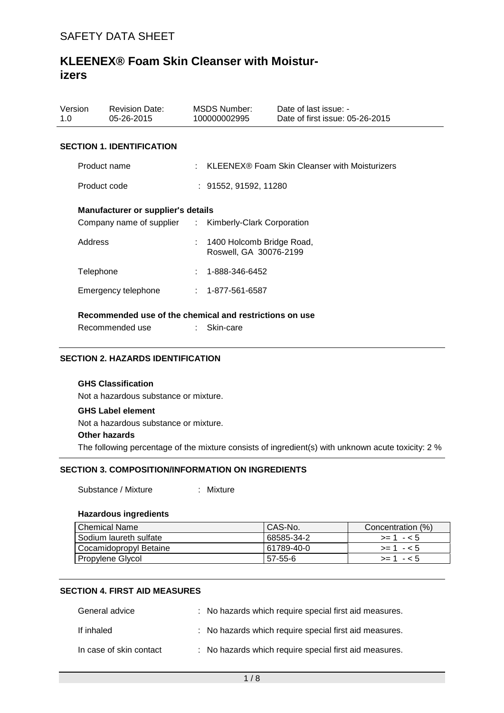| Version<br>1.0                                          | <b>Revision Date:</b><br>05-26-2015                   |  | MSDS Number:<br>100000002995                        | Date of last issue: -<br>Date of first issue: 05-26-2015 |  |  |
|---------------------------------------------------------|-------------------------------------------------------|--|-----------------------------------------------------|----------------------------------------------------------|--|--|
| <b>SECTION 1. IDENTIFICATION</b>                        |                                                       |  |                                                     |                                                          |  |  |
|                                                         | Product name                                          |  | $\pm$ KLEENEX® Foam Skin Cleanser with Moisturizers |                                                          |  |  |
| Product code                                            |                                                       |  | : 91552, 91592, 11280                               |                                                          |  |  |
| Manufacturer or supplier's details                      |                                                       |  |                                                     |                                                          |  |  |
|                                                         | Company name of supplier : Kimberly-Clark Corporation |  |                                                     |                                                          |  |  |
| Address                                                 |                                                       |  | 1400 Holcomb Bridge Road,<br>Roswell, GA 30076-2199 |                                                          |  |  |
| Telephone                                               |                                                       |  | 1-888-346-6452                                      |                                                          |  |  |
|                                                         | Emergency telephone                                   |  | $: 1 - 877 - 561 - 6587$                            |                                                          |  |  |
| Recommended use of the chemical and restrictions on use |                                                       |  |                                                     |                                                          |  |  |

Recommended use : Skin-care

### **SECTION 2. HAZARDS IDENTIFICATION**

# **GHS Classification**

Not a hazardous substance or mixture.

#### **GHS Label element**

Not a hazardous substance or mixture.

#### **Other hazards**

The following percentage of the mixture consists of ingredient(s) with unknown acute toxicity: 2 %

### **SECTION 3. COMPOSITION/INFORMATION ON INGREDIENTS**

Substance / Mixture : Mixture

#### **Hazardous ingredients**

| Chemical Name          | CAS-No.    | Concentration (%) |
|------------------------|------------|-------------------|
| Sodium laureth sulfate | 68585-34-2 | $>= 1 - 5$        |
| Cocamidopropyl Betaine | 61789-40-0 | $> = 1 - 5$       |
| Propylene Glycol       | 57-55-6    | $>1 - 5$          |

## **SECTION 4. FIRST AID MEASURES**

| General advice          | : No hazards which require special first aid measures. |
|-------------------------|--------------------------------------------------------|
| If inhaled              | : No hazards which require special first aid measures. |
| In case of skin contact | : No hazards which require special first aid measures. |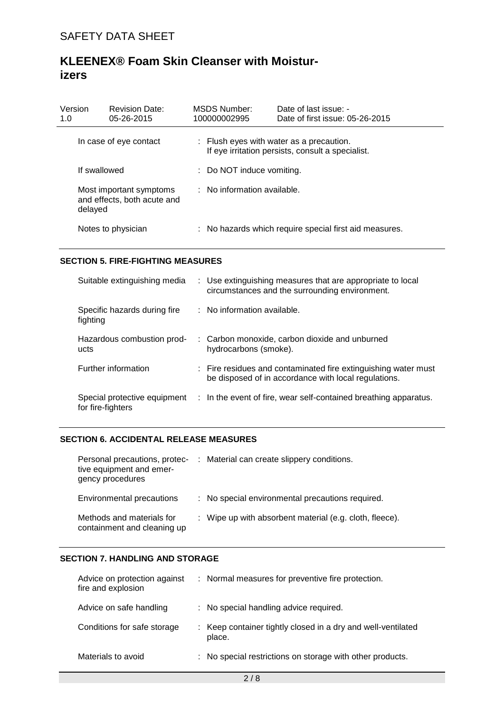| Version<br>1.0                                                    |  | <b>Revision Date:</b><br>05-26-2015    |                                                                                               | MSDS Number:<br>100000002995                           | Date of last issue: -<br>Date of first issue: 05-26-2015 |
|-------------------------------------------------------------------|--|----------------------------------------|-----------------------------------------------------------------------------------------------|--------------------------------------------------------|----------------------------------------------------------|
| In case of eye contact                                            |  |                                        | : Flush eyes with water as a precaution.<br>If eye irritation persists, consult a specialist. |                                                        |                                                          |
| If swallowed                                                      |  | : Do NOT induce vomiting.              |                                                                                               |                                                        |                                                          |
| Most important symptoms<br>and effects, both acute and<br>delayed |  | $\therefore$ No information available. |                                                                                               |                                                        |                                                          |
| Notes to physician                                                |  |                                        |                                                                                               | : No hazards which require special first aid measures. |                                                          |

### **SECTION 5. FIRE-FIGHTING MEASURES**

| Suitable extinguishing media                      | : Use extinguishing measures that are appropriate to local<br>circumstances and the surrounding environment.           |
|---------------------------------------------------|------------------------------------------------------------------------------------------------------------------------|
| Specific hazards during fire<br>fighting          | : No information available.                                                                                            |
| Hazardous combustion prod-<br>ucts                | : Carbon monoxide, carbon dioxide and unburned<br>hydrocarbons (smoke).                                                |
| Further information                               | : Fire residues and contaminated fire extinguishing water must<br>be disposed of in accordance with local regulations. |
| Special protective equipment<br>for fire-fighters | : In the event of fire, wear self-contained breathing apparatus.                                                       |

### **SECTION 6. ACCIDENTAL RELEASE MEASURES**

| Personal precautions, protec-<br>tive equipment and emer-<br>gency procedures | : Material can create slippery conditions.              |
|-------------------------------------------------------------------------------|---------------------------------------------------------|
| Environmental precautions                                                     | : No special environmental precautions required.        |
| Methods and materials for<br>containment and cleaning up                      | : Wipe up with absorbent material (e.g. cloth, fleece). |

#### **SECTION 7. HANDLING AND STORAGE**

| Advice on protection against<br>fire and explosion | : Normal measures for preventive fire protection.                      |
|----------------------------------------------------|------------------------------------------------------------------------|
| Advice on safe handling                            | : No special handling advice required.                                 |
| Conditions for safe storage                        | : Keep container tightly closed in a dry and well-ventilated<br>place. |
| Materials to avoid                                 | : No special restrictions on storage with other products.              |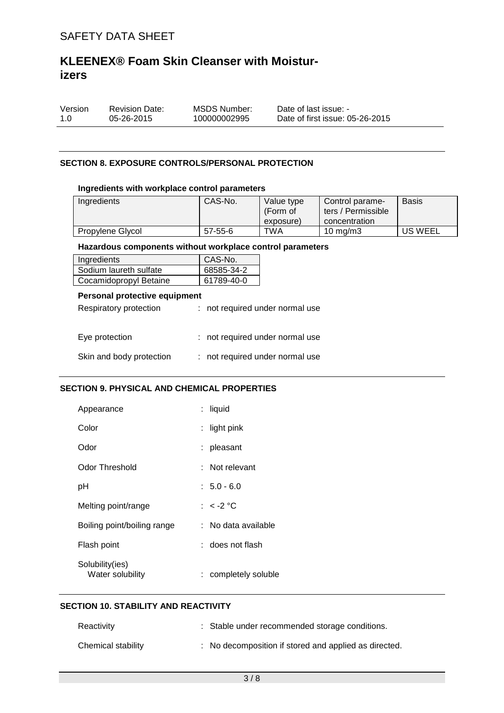| Version | <b>Revision Date:</b> | MSDS Number: | Date of last issue: -           |
|---------|-----------------------|--------------|---------------------------------|
| 1.0     | 05-26-2015            | 100000002995 | Date of first issue: 05-26-2015 |

#### **SECTION 8. EXPOSURE CONTROLS/PERSONAL PROTECTION**

#### **Ingredients with workplace control parameters**

| Ingredients      | CAS-No. | Value type<br>(Form of<br>exposure) | Control parame-<br>ters / Permissible<br>concentration | <b>Basis</b> |
|------------------|---------|-------------------------------------|--------------------------------------------------------|--------------|
| Propylene Glycol | 57-55-6 | TWA                                 | 10 mg/m $3$                                            | US WEEL      |

#### **Hazardous components without workplace control parameters**

| Ingredients            | CAS-No.    |
|------------------------|------------|
| Sodium laureth sulfate | 68585-34-2 |
| Cocamidopropyl Betaine | 61789-40-0 |

## **Personal protective equipment**

| Respiratory protection   | : not required under normal use |
|--------------------------|---------------------------------|
| Eye protection           | : not required under normal use |
| Skin and body protection | : not required under normal use |

### **SECTION 9. PHYSICAL AND CHEMICAL PROPERTIES**

| Appearance                          | liquid               |
|-------------------------------------|----------------------|
| Color                               | light pink           |
| Odor                                | pleasant             |
| Odor Threshold                      | : Not relevant       |
| рH                                  | $: 5.0 - 6.0$        |
| Melting point/range                 | : $<$ -2 °C          |
| Boiling point/boiling range         | : No data available  |
| Flash point                         | : does not flash     |
| Solubility(ies)<br>Water solubility | : completely soluble |

### **SECTION 10. STABILITY AND REACTIVITY**

| Reactivity         | : Stable under recommended storage conditions.        |
|--------------------|-------------------------------------------------------|
| Chemical stability | : No decomposition if stored and applied as directed. |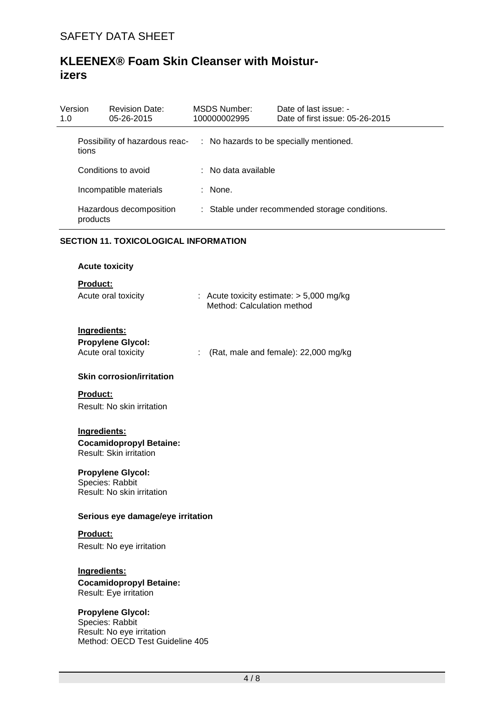| Version<br>1.0 |          | <b>Revision Date:</b><br>05-26-2015 | MSDS Number:<br>100000002995   | Date of last issue: -<br>Date of first issue: 05-26-2015 |
|----------------|----------|-------------------------------------|--------------------------------|----------------------------------------------------------|
|                | tions    | Possibility of hazardous reac-      |                                | : No hazards to be specially mentioned.                  |
|                |          | Conditions to avoid                 | $\therefore$ No data available |                                                          |
|                |          | Incompatible materials              | $:$ None.                      |                                                          |
|                | products | Hazardous decomposition             |                                | : Stable under recommended storage conditions.           |

### **SECTION 11. TOXICOLOGICAL INFORMATION**

| <b>Acute toxicity</b>                                                                                       |                                                                          |
|-------------------------------------------------------------------------------------------------------------|--------------------------------------------------------------------------|
| <b>Product:</b><br>Acute oral toxicity                                                                      | : Acute toxicity estimate: $> 5,000$ mg/kg<br>Method: Calculation method |
| Ingredients:<br><b>Propylene Glycol:</b><br>Acute oral toxicity                                             | (Rat, male and female): 22,000 mg/kg                                     |
| <b>Skin corrosion/irritation</b>                                                                            |                                                                          |
| <b>Product:</b><br>Result: No skin irritation                                                               |                                                                          |
| Ingredients:<br><b>Cocamidopropyl Betaine:</b><br><b>Result: Skin irritation</b>                            |                                                                          |
| <b>Propylene Glycol:</b><br>Species: Rabbit<br>Result: No skin irritation                                   |                                                                          |
| Serious eye damage/eye irritation                                                                           |                                                                          |
| <b>Product:</b><br>Result: No eye irritation                                                                |                                                                          |
| Ingredients:<br><b>Cocamidopropyl Betaine:</b><br>Result: Eye irritation                                    |                                                                          |
| <b>Propylene Glycol:</b><br>Species: Rabbit<br>Result: No eye irritation<br>Method: OECD Test Guideline 405 |                                                                          |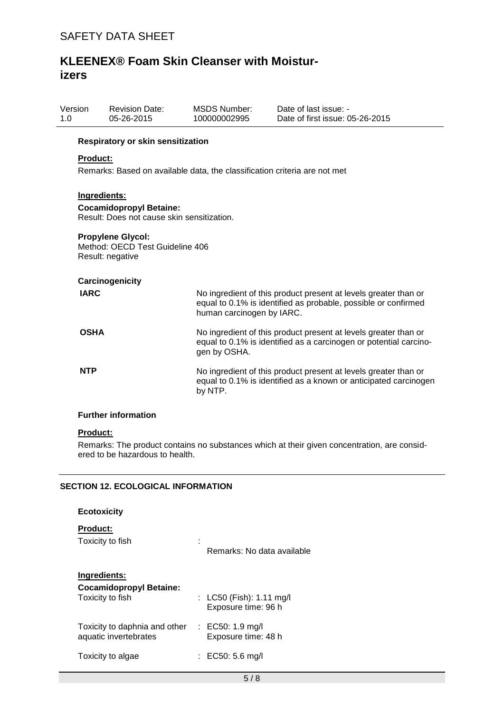| Version<br>1.0  | <b>Revision Date:</b><br>05-26-2015                                             | MSDS Number:<br>100000002995 | Date of last issue: -<br>Date of first issue: 05-26-2015 |  |  |  |
|-----------------|---------------------------------------------------------------------------------|------------------------------|----------------------------------------------------------|--|--|--|
|                 | Respiratory or skin sensitization                                               |                              |                                                          |  |  |  |
| <b>Product:</b> |                                                                                 |                              |                                                          |  |  |  |
|                 | Remarks: Based on available data, the classification criteria are not met       |                              |                                                          |  |  |  |
|                 |                                                                                 |                              |                                                          |  |  |  |
|                 | Ingredients:                                                                    |                              |                                                          |  |  |  |
|                 | <b>Cocamidopropyl Betaine:</b>                                                  |                              |                                                          |  |  |  |
|                 | Result: Does not cause skin sensitization.                                      |                              |                                                          |  |  |  |
|                 | <b>Propylene Glycol:</b><br>Method: OECD Test Guideline 406<br>Result: negative |                              |                                                          |  |  |  |

| Carcinogenicity |                                                                                                                                                                |
|-----------------|----------------------------------------------------------------------------------------------------------------------------------------------------------------|
| <b>IARC</b>     | No ingredient of this product present at levels greater than or<br>equal to 0.1% is identified as probable, possible or confirmed<br>human carcinogen by IARC. |
| <b>OSHA</b>     | No ingredient of this product present at levels greater than or<br>equal to 0.1% is identified as a carcinogen or potential carcino-<br>gen by OSHA.           |
| <b>NTP</b>      | No ingredient of this product present at levels greater than or<br>equal to 0.1% is identified as a known or anticipated carcinogen<br>by NTP.                 |

## **Further information**

#### **Product:**

Remarks: The product contains no substances which at their given concentration, are considered to be hazardous to health.

# **SECTION 12. ECOLOGICAL INFORMATION**

| <b>Ecotoxicity</b>                                                 |                                                   |
|--------------------------------------------------------------------|---------------------------------------------------|
| <b>Product:</b><br>Toxicity to fish                                | Remarks: No data available                        |
| Ingredients:<br><b>Cocamidopropyl Betaine:</b><br>Toxicity to fish | : $LC50$ (Fish): 1.11 mg/l<br>Exposure time: 96 h |
| Toxicity to daphnia and other<br>aquatic invertebrates             | : EC50: 1.9 mg/l<br>Exposure time: 48 h           |
| Toxicity to algae                                                  | : EC50: 5.6 mg/l                                  |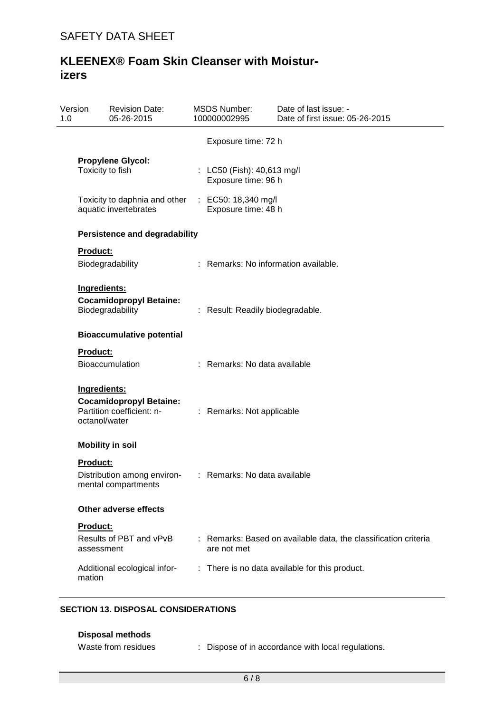| Version<br>1.0 | <b>Revision Date:</b><br>05-26-2015                                                          | <b>MSDS Number:</b><br>100000002995               | Date of last issue: -<br>Date of first issue: 05-26-2015        |
|----------------|----------------------------------------------------------------------------------------------|---------------------------------------------------|-----------------------------------------------------------------|
|                |                                                                                              | Exposure time: 72 h                               |                                                                 |
|                | <b>Propylene Glycol:</b><br>Toxicity to fish                                                 | : LC50 (Fish): 40,613 mg/l<br>Exposure time: 96 h |                                                                 |
|                | Toxicity to daphnia and other<br>aquatic invertebrates                                       | : EC50: 18,340 mg/l<br>Exposure time: 48 h        |                                                                 |
|                | <b>Persistence and degradability</b>                                                         |                                                   |                                                                 |
|                | <b>Product:</b><br>Biodegradability                                                          |                                                   | : Remarks: No information available.                            |
|                | Ingredients:<br><b>Cocamidopropyl Betaine:</b><br>Biodegradability                           | : Result: Readily biodegradable.                  |                                                                 |
|                | <b>Bioaccumulative potential</b>                                                             |                                                   |                                                                 |
|                | <b>Product:</b><br><b>Bioaccumulation</b>                                                    | : Remarks: No data available                      |                                                                 |
|                | Ingredients:<br><b>Cocamidopropyl Betaine:</b><br>Partition coefficient: n-<br>octanol/water | : Remarks: Not applicable                         |                                                                 |
|                | <b>Mobility in soil</b>                                                                      |                                                   |                                                                 |
|                | <b>Product:</b><br>Distribution among environ-<br>mental compartments                        | : Remarks: No data available                      |                                                                 |
|                | Other adverse effects                                                                        |                                                   |                                                                 |
|                | Product:<br>Results of PBT and vPvB<br>assessment                                            | are not met                                       | : Remarks: Based on available data, the classification criteria |
|                | Additional ecological infor-<br>mation                                                       |                                                   | : There is no data available for this product.                  |

## **SECTION 13. DISPOSAL CONSIDERATIONS**

| Disposal methods    |                                                  |
|---------------------|--------------------------------------------------|
| Waste from residues | Dispose of in accordance with local regulations. |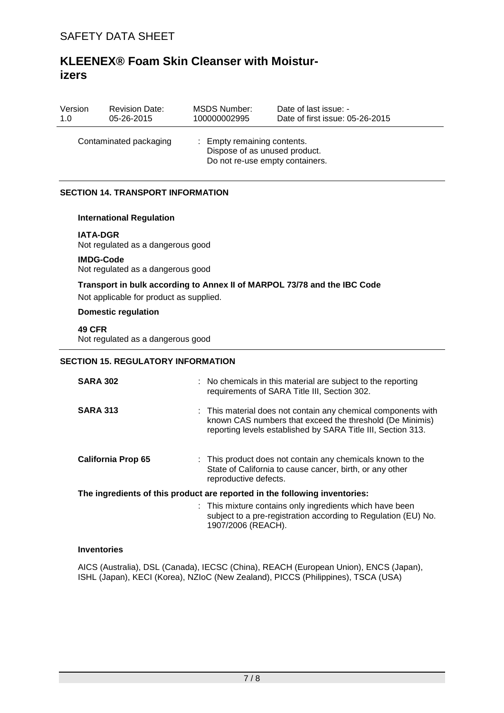| Version<br>1.0 | <b>Revision Date:</b><br>05-26-2015                                                                                       | <b>MSDS Number:</b><br>100000002995 | Date of last issue: -<br>Date of first issue: 05-26-2015                                                                                                                                |  |  |  |
|----------------|---------------------------------------------------------------------------------------------------------------------------|-------------------------------------|-----------------------------------------------------------------------------------------------------------------------------------------------------------------------------------------|--|--|--|
|                | Contaminated packaging<br>: Empty remaining contents.<br>Dispose of as unused product.<br>Do not re-use empty containers. |                                     |                                                                                                                                                                                         |  |  |  |
|                | <b>SECTION 14. TRANSPORT INFORMATION</b>                                                                                  |                                     |                                                                                                                                                                                         |  |  |  |
|                | <b>International Regulation</b>                                                                                           |                                     |                                                                                                                                                                                         |  |  |  |
|                | <b>IATA-DGR</b><br>Not regulated as a dangerous good                                                                      |                                     |                                                                                                                                                                                         |  |  |  |
|                | <b>IMDG-Code</b><br>Not regulated as a dangerous good                                                                     |                                     |                                                                                                                                                                                         |  |  |  |
|                | Not applicable for product as supplied.                                                                                   |                                     | Transport in bulk according to Annex II of MARPOL 73/78 and the IBC Code                                                                                                                |  |  |  |
|                | <b>Domestic regulation</b>                                                                                                |                                     |                                                                                                                                                                                         |  |  |  |
|                | <b>49 CFR</b><br>Not regulated as a dangerous good                                                                        |                                     |                                                                                                                                                                                         |  |  |  |
|                | <b>SECTION 15. REGULATORY INFORMATION</b>                                                                                 |                                     |                                                                                                                                                                                         |  |  |  |
|                | <b>SARA 302</b>                                                                                                           |                                     | : No chemicals in this material are subject to the reporting<br>requirements of SARA Title III, Section 302.                                                                            |  |  |  |
|                | <b>SARA 313</b>                                                                                                           |                                     | This material does not contain any chemical components with<br>known CAS numbers that exceed the threshold (De Minimis)<br>reporting levels established by SARA Title III, Section 313. |  |  |  |
|                | <b>California Prop 65</b>                                                                                                 | reproductive defects.               | This product does not contain any chemicals known to the<br>State of California to cause cancer, birth, or any other                                                                    |  |  |  |
|                | The ingredients of this product are reported in the following inventories:                                                |                                     |                                                                                                                                                                                         |  |  |  |
|                |                                                                                                                           | 1907/2006 (REACH).                  | This mixture contains only ingredients which have been<br>subject to a pre-registration according to Regulation (EU) No.                                                                |  |  |  |

#### **Inventories**

AICS (Australia), DSL (Canada), IECSC (China), REACH (European Union), ENCS (Japan), ISHL (Japan), KECI (Korea), NZIoC (New Zealand), PICCS (Philippines), TSCA (USA)